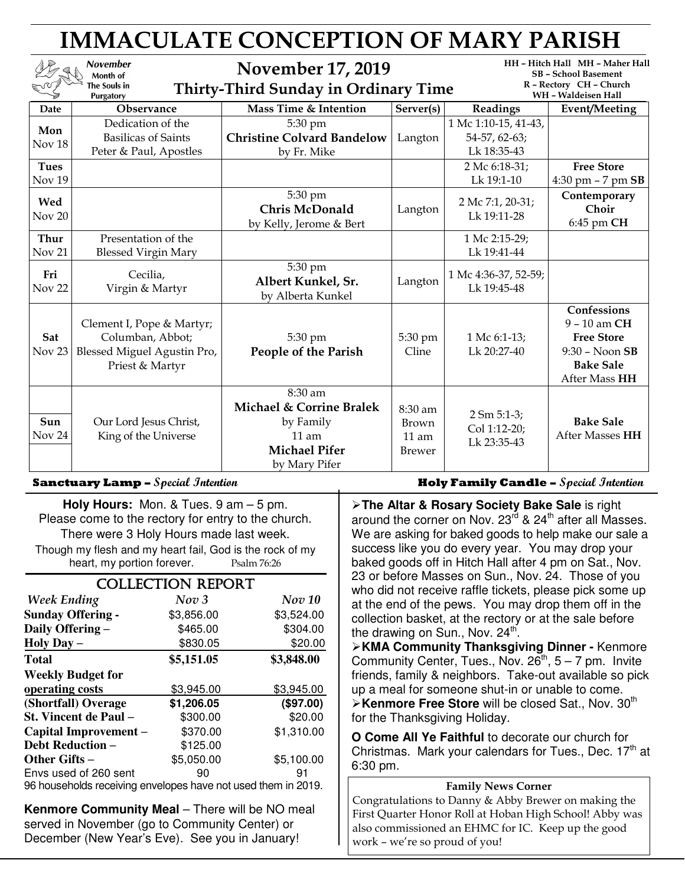| <b>IMMACULATE CONCEPTION OF MARY PARISH</b> |                                                                                                 |                                                                                                      |                                                     |                                                                                                                  |                                                                                                            |  |  |
|---------------------------------------------|-------------------------------------------------------------------------------------------------|------------------------------------------------------------------------------------------------------|-----------------------------------------------------|------------------------------------------------------------------------------------------------------------------|------------------------------------------------------------------------------------------------------------|--|--|
|                                             | <b>November</b><br>Month of<br>The Souls in<br><b>Purgatory</b>                                 | <b>November 17, 2019</b><br><b>Thirty-Third Sunday in Ordinary Time</b>                              |                                                     | HH - Hitch Hall MH - Maher Hall<br><b>SB</b> - School Basement<br>R - Rectory CH - Church<br>WH - Waldeisen Hall |                                                                                                            |  |  |
| Date                                        | Observance                                                                                      | Mass Time & Intention                                                                                | Server(s)                                           | Readings                                                                                                         | <b>Event/Meeting</b>                                                                                       |  |  |
| Mon<br>Nov 18                               | Dedication of the<br><b>Basilicas of Saints</b><br>Peter & Paul, Apostles                       | 5:30 pm<br><b>Christine Colvard Bandelow</b><br>by Fr. Mike                                          | Langton                                             | 1 Mc 1:10-15, 41-43,<br>54-57, 62-63;<br>Lk 18:35-43                                                             |                                                                                                            |  |  |
| <b>Tues</b><br>Nov <sub>19</sub>            |                                                                                                 |                                                                                                      |                                                     | 2 Mc 6:18-31;<br>Lk 19:1-10                                                                                      | <b>Free Store</b><br>$4:30 \text{ pm} - 7 \text{ pm}$ SB                                                   |  |  |
| Wed<br>Nov 20                               |                                                                                                 | 5:30 pm<br><b>Chris McDonald</b><br>by Kelly, Jerome & Bert                                          | Langton                                             | 2 Mc 7:1, 20-31;<br>Lk 19:11-28                                                                                  | Contemporary<br>Choir<br>6:45 pm CH                                                                        |  |  |
| Thur<br>Nov <sub>21</sub>                   | Presentation of the<br><b>Blessed Virgin Mary</b>                                               |                                                                                                      |                                                     | 1 Mc 2:15-29;<br>Lk 19:41-44                                                                                     |                                                                                                            |  |  |
| Fri<br>Nov <sub>22</sub>                    | Cecilia,<br>Virgin & Martyr                                                                     | 5:30 pm<br>Albert Kunkel, Sr.<br>by Alberta Kunkel                                                   | Langton                                             | 1 Mc 4:36-37, 52-59;<br>Lk 19:45-48                                                                              |                                                                                                            |  |  |
| Sat<br>Nov <sub>23</sub>                    | Clement I, Pope & Martyr;<br>Columban, Abbot;<br>Blessed Miguel Agustin Pro,<br>Priest & Martyr | 5:30 pm<br>People of the Parish                                                                      | 5:30 pm<br>Cline                                    | 1 Mc 6:1-13;<br>Lk $20:27-40$                                                                                    | Confessions<br>9 - 10 am CH<br><b>Free Store</b><br>$9:30 - N$ oon SB<br><b>Bake Sale</b><br>After Mass HH |  |  |
| Sun<br>Nov 24                               | Our Lord Jesus Christ,<br>King of the Universe                                                  | 8:30 am<br>Michael & Corrine Bralek<br>by Family<br>$11$ am<br><b>Michael Pifer</b><br>by Mary Pifer | 8:30 am<br><b>Brown</b><br>$11$ am<br><b>Brewer</b> | $2 \text{ Sm } 5:1-3;$<br>Col 1:12-20;<br>Lk 23:35-43                                                            | <b>Bake Sale</b><br><b>After Masses HH</b>                                                                 |  |  |

**Holy Hours:** Mon. & Tues. 9 am – 5 pm. Please come to the rectory for entry to the church. There were 3 Holy Hours made last week. Though my flesh and my heart fail, God is the rock of my heart, my portion forever. Psalm 76:26

| <b>COLLECTION REPORT</b>                                              |            |                                         |  |  |  |  |
|-----------------------------------------------------------------------|------------|-----------------------------------------|--|--|--|--|
| <b>Week Ending</b>                                                    | Nov 3      | Nov 10                                  |  |  |  |  |
| <b>Sunday Offering -</b>                                              | \$3,856.00 | \$3,524.00                              |  |  |  |  |
| Daily Offering -                                                      | \$465.00   | \$304.00                                |  |  |  |  |
| Holy Day $-$                                                          | \$830.05   | \$20.00                                 |  |  |  |  |
| <b>Total</b>                                                          | \$5,151.05 | \$3,848.00                              |  |  |  |  |
| <b>Weekly Budget for</b>                                              |            |                                         |  |  |  |  |
| operating costs                                                       | \$3,945.00 | \$3,945.00                              |  |  |  |  |
| (Shortfall) Overage                                                   | \$1,206.05 | (\$97.00)                               |  |  |  |  |
| St. Vincent de Paul -                                                 | \$300.00   | \$20.00                                 |  |  |  |  |
| Capital Improvement –                                                 | \$370.00   | \$1,310.00                              |  |  |  |  |
| <b>Debt Reduction -</b>                                               | \$125.00   |                                         |  |  |  |  |
| Other Gifts –                                                         | \$5,050.00 | \$5,100.00                              |  |  |  |  |
| Envs used of 260 sent<br>والمناجح والمستحاط والمتحدث والمتحال المتحال | 90<br>.    | 91<br>دنا المحديث عالمه الم<br>. $\sim$ |  |  |  |  |

96 households receiving envelopes have not used them in 2019.

**Kenmore Community Meal** – There will be NO meal served in November (go to Community Center) or December (New Year's Eve). See you in January!

**Sanctuary Lamp –** Special Intention **Fig. 2.1 Contains Lump Holy Family Candle –** Special Intention

**The Altar & Rosary Society Bake Sale** is right around the corner on Nov.  $23^{\text{rd}}$  &  $24^{\text{th}}$  after all Masses. We are asking for baked goods to help make our sale a success like you do every year. You may drop your baked goods off in Hitch Hall after 4 pm on Sat., Nov. 23 or before Masses on Sun., Nov. 24. Those of you who did not receive raffle tickets, please pick some up at the end of the pews. You may drop them off in the collection basket, at the rectory or at the sale before the drawing on Sun., Nov. 24<sup>th</sup>.

**KMA Community Thanksgiving Dinner -** Kenmore Community Center, Tues., Nov.  $26^{th}$ ,  $5 - 7$  pm. Invite friends, family & neighbors. Take-out available so pick up a meal for someone shut-in or unable to come. **Example Free Store will be closed Sat., Nov. 30<sup>th</sup>** for the Thanksgiving Holiday.

**O Come All Ye Faithful** to decorate our church for Christmas. Mark your calendars for Tues., Dec.  $17<sup>th</sup>$  at 6:30 pm.

## Family News Corner

Congratulations to Danny & Abby Brewer on making the First Quarter Honor Roll at Hoban High School! Abby was also commissioned an EHMC for IC. Keep up the good work – we're so proud of you!